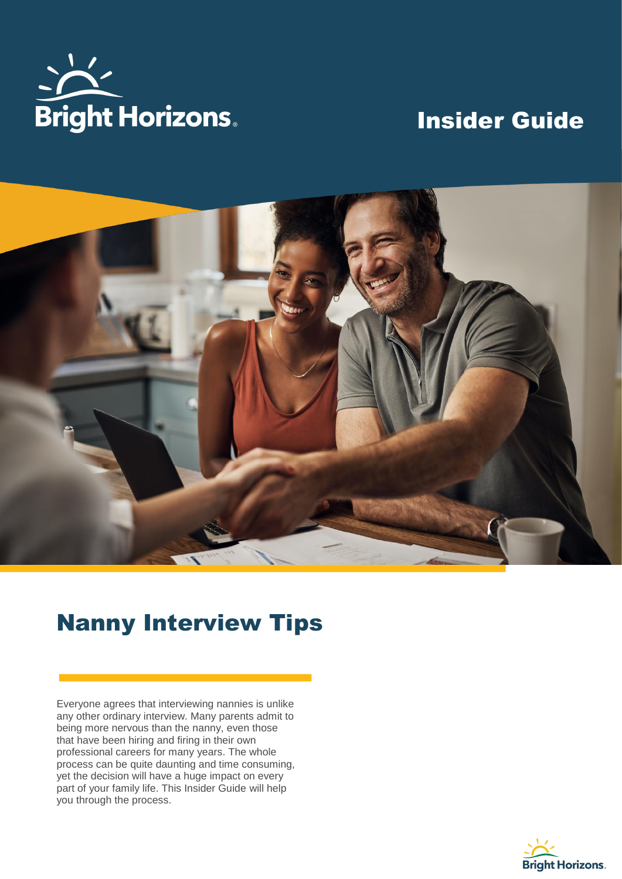

# Insider Guide



# Nanny Interview Tips

Everyone agrees that interviewing nannies is unlike any other ordinary interview. Many parents admit to being more nervous than the nanny, even those that have been hiring and firing in their own professional careers for many years. The whole process can be quite daunting and time consuming, yet the decision will have a huge impact on every part of your family life. This Insider Guide will help you through the process.

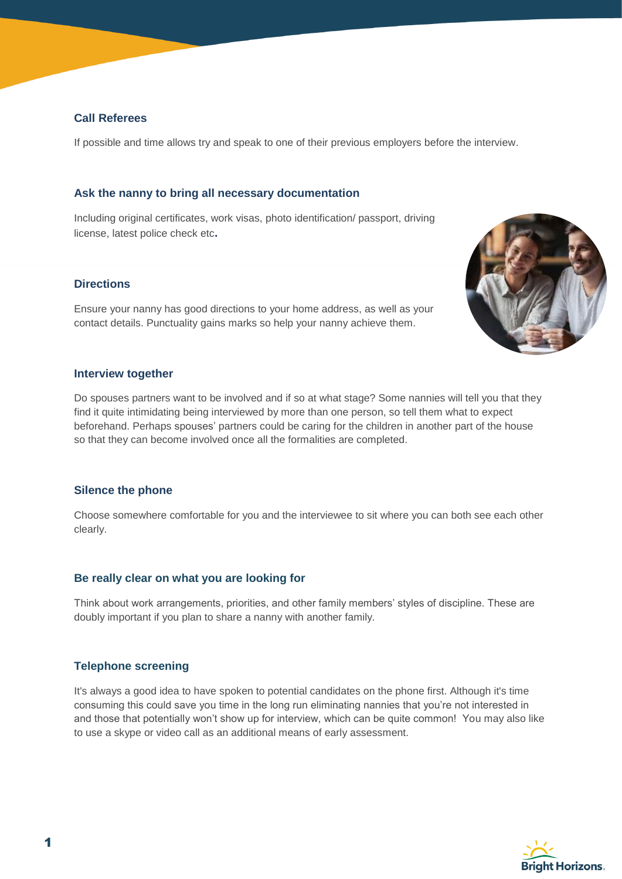# **Call Referees**

If possible and time allows try and speak to one of their previous employers before the interview.

## **Ask the nanny to bring all necessary documentation**

Including original certificates, work visas, photo identification/ passport, driving license, latest police check etc**.**

## **Directions**

Ensure your nanny has good directions to your home address, as well as your contact details. Punctuality gains marks so help your nanny achieve them.



## **Interview together**

Do spouses partners want to be involved and if so at what stage? Some nannies will tell you that they find it quite intimidating being interviewed by more than one person, so tell them what to expect beforehand. Perhaps spouses' partners could be caring for the children in another part of the house so that they can become involved once all the formalities are completed.

#### **Silence the phone**

Choose somewhere comfortable for you and the interviewee to sit where you can both see each other clearly.

#### **Be really clear on what you are looking for**

Think about work arrangements, priorities, and other family members' styles of discipline. These are doubly important if you plan to share a nanny with another family.

#### **Telephone screening**

It's always a good idea to have spoken to potential candidates on the phone first. Although it's time consuming this could save you time in the long run eliminating nannies that you're not interested in and those that potentially won't show up for interview, which can be quite common! You may also like to use a skype or video call as an additional means of early assessment.

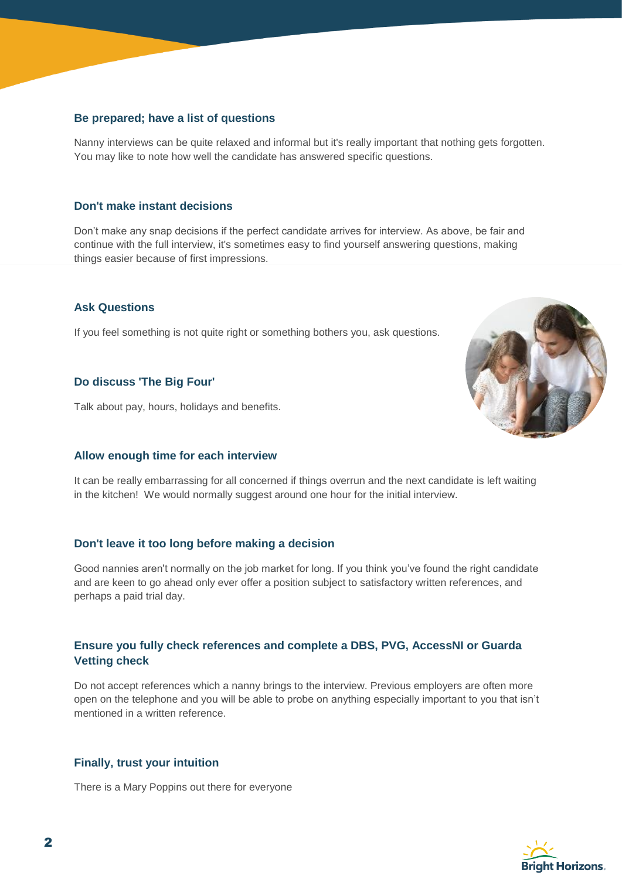# **Be prepared; have a list of questions**

Nanny interviews can be quite relaxed and informal but it's really important that nothing gets forgotten. You may like to note how well the candidate has answered specific questions.

#### **Don't make instant decisions**

Don't make any snap decisions if the perfect candidate arrives for interview. As above, be fair and continue with the full interview, it's sometimes easy to find yourself answering questions, making things easier because of first impressions.

#### **Ask Questions**

If you feel something is not quite right or something bothers you, ask questions.

#### **Do discuss 'The Big Four'**

Talk about pay, hours, holidays and benefits.

#### **Allow enough time for each interview**

It can be really embarrassing for all concerned if things overrun and the next candidate is left waiting in the kitchen! We would normally suggest around one hour for the initial interview.

#### **Don't leave it too long before making a decision**

Good nannies aren't normally on the job market for long. If you think you've found the right candidate and are keen to go ahead only ever offer a position subject to satisfactory written references, and perhaps a paid trial day.

# **Ensure you fully check references and complete a DBS, PVG, AccessNI or Guarda Vetting check**

Do not accept references which a nanny brings to the interview. Previous employers are often more open on the telephone and you will be able to probe on anything especially important to you that isn't mentioned in a written reference.

#### **Finally, trust your intuition**

There is a Mary Poppins out there for everyone